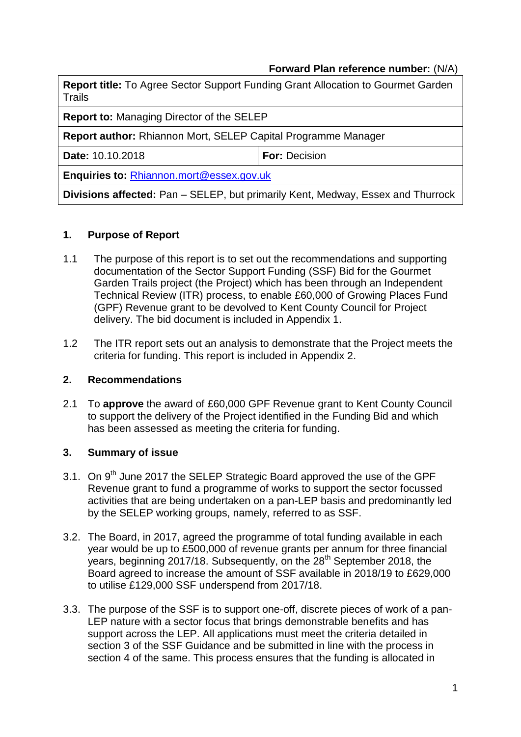## **Forward Plan reference number:** (N/A)

| <b>Report title:</b> To Agree Sector Support Funding Grant Allocation to Gourmet Garden<br>Trails |                      |  |  |
|---------------------------------------------------------------------------------------------------|----------------------|--|--|
| <b>Report to: Managing Director of the SELEP</b>                                                  |                      |  |  |
| <b>Report author:</b> Rhiannon Mort, SELEP Capital Programme Manager                              |                      |  |  |
| Date: 10.10.2018                                                                                  | <b>For: Decision</b> |  |  |

**Enquiries to:** [Rhiannon.mort@essex.gov.uk](mailto:Rhiannon.mort@essex.gov.uk)

**Divisions affected:** Pan – SELEP, but primarily Kent, Medway, Essex and Thurrock

#### **1. Purpose of Report**

- 1.1 The purpose of this report is to set out the recommendations and supporting documentation of the Sector Support Funding (SSF) Bid for the Gourmet Garden Trails project (the Project) which has been through an Independent Technical Review (ITR) process, to enable £60,000 of Growing Places Fund (GPF) Revenue grant to be devolved to Kent County Council for Project delivery. The bid document is included in Appendix 1.
- 1.2 The ITR report sets out an analysis to demonstrate that the Project meets the criteria for funding. This report is included in Appendix 2.

#### **2. Recommendations**

2.1 To **approve** the award of £60,000 GPF Revenue grant to Kent County Council to support the delivery of the Project identified in the Funding Bid and which has been assessed as meeting the criteria for funding.

#### **3. Summary of issue**

- 3.1. On 9<sup>th</sup> June 2017 the SELEP Strategic Board approved the use of the GPF Revenue grant to fund a programme of works to support the sector focussed activities that are being undertaken on a pan-LEP basis and predominantly led by the SELEP working groups, namely, referred to as SSF.
- 3.2. The Board, in 2017, agreed the programme of total funding available in each year would be up to £500,000 of revenue grants per annum for three financial years, beginning 2017/18. Subsequently, on the  $28<sup>th</sup>$  September 2018, the Board agreed to increase the amount of SSF available in 2018/19 to £629,000 to utilise £129,000 SSF underspend from 2017/18.
- 3.3. The purpose of the SSF is to support one-off, discrete pieces of work of a pan-LEP nature with a sector focus that brings demonstrable benefits and has support across the LEP. All applications must meet the criteria detailed in section 3 of the SSF Guidance and be submitted in line with the process in section 4 of the same. This process ensures that the funding is allocated in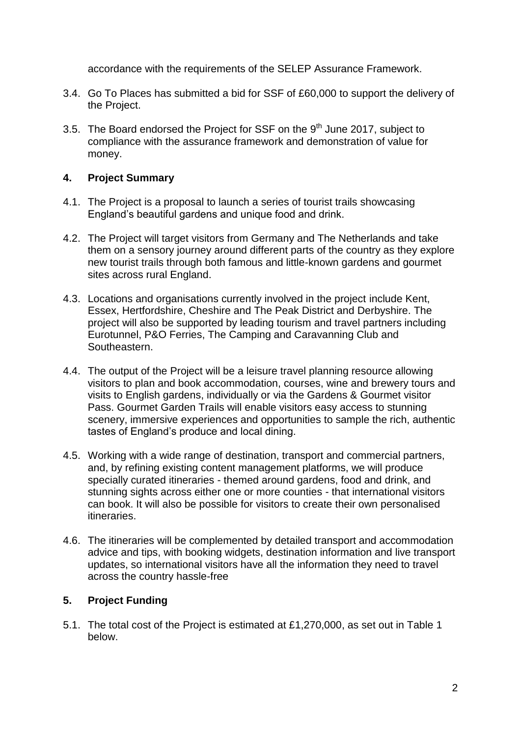accordance with the requirements of the SELEP Assurance Framework.

- 3.4. Go To Places has submitted a bid for SSF of £60,000 to support the delivery of the Project.
- 3.5. The Board endorsed the Project for SSF on the  $9<sup>th</sup>$  June 2017, subject to compliance with the assurance framework and demonstration of value for money.

### **4. Project Summary**

- 4.1. The Project is a proposal to launch a series of tourist trails showcasing England's beautiful gardens and unique food and drink.
- 4.2. The Project will target visitors from Germany and The Netherlands and take them on a sensory journey around different parts of the country as they explore new tourist trails through both famous and little-known gardens and gourmet sites across rural England.
- 4.3. Locations and organisations currently involved in the project include Kent, Essex, Hertfordshire, Cheshire and The Peak District and Derbyshire. The project will also be supported by leading tourism and travel partners including Eurotunnel, P&O Ferries, The Camping and Caravanning Club and Southeastern.
- 4.4. The output of the Project will be a leisure travel planning resource allowing visitors to plan and book accommodation, courses, wine and brewery tours and visits to English gardens, individually or via the Gardens & Gourmet visitor Pass. Gourmet Garden Trails will enable visitors easy access to stunning scenery, immersive experiences and opportunities to sample the rich, authentic tastes of England's produce and local dining.
- 4.5. Working with a wide range of destination, transport and commercial partners, and, by refining existing content management platforms, we will produce specially curated itineraries - themed around gardens, food and drink, and stunning sights across either one or more counties - that international visitors can book. It will also be possible for visitors to create their own personalised itineraries.
- 4.6. The itineraries will be complemented by detailed transport and accommodation advice and tips, with booking widgets, destination information and live transport updates, so international visitors have all the information they need to travel across the country hassle-free

## **5. Project Funding**

5.1. The total cost of the Project is estimated at £1,270,000, as set out in Table 1 below.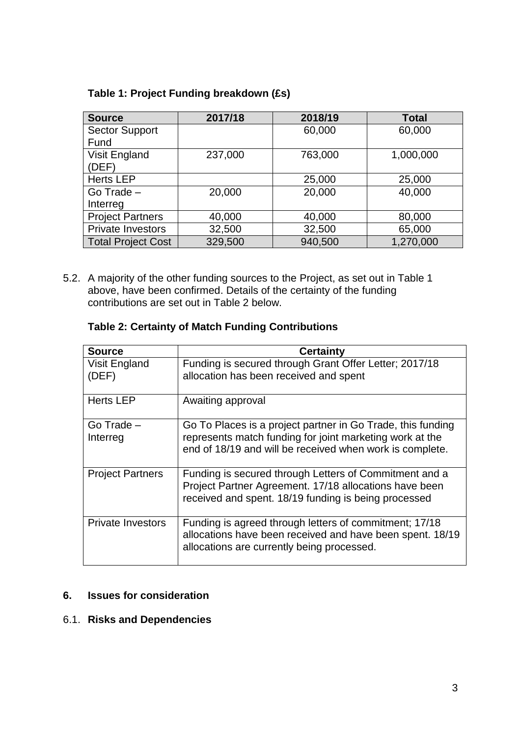# **Table 1: Project Funding breakdown (£s)**

| <b>Source</b>             | 2017/18 | 2018/19 | <b>Total</b> |
|---------------------------|---------|---------|--------------|
| <b>Sector Support</b>     |         | 60,000  | 60,000       |
| Fund                      |         |         |              |
| Visit England             | 237,000 | 763,000 | 1,000,000    |
| (DEF)                     |         |         |              |
| <b>Herts LEP</b>          |         | 25,000  | 25,000       |
| Go Trade -                | 20,000  | 20,000  | 40,000       |
| Interreg                  |         |         |              |
| <b>Project Partners</b>   | 40,000  | 40,000  | 80,000       |
| <b>Private Investors</b>  | 32,500  | 32,500  | 65,000       |
| <b>Total Project Cost</b> | 329,500 | 940,500 | 1,270,000    |

5.2. A majority of the other funding sources to the Project, as set out in Table 1 above, have been confirmed. Details of the certainty of the funding contributions are set out in Table 2 below.

## **Table 2: Certainty of Match Funding Contributions**

| <b>Source</b>            | Certainty                                                                                                                                                                           |
|--------------------------|-------------------------------------------------------------------------------------------------------------------------------------------------------------------------------------|
| Visit England<br>(DEF)   | Funding is secured through Grant Offer Letter; 2017/18<br>allocation has been received and spent                                                                                    |
| <b>Herts LEP</b>         | Awaiting approval                                                                                                                                                                   |
| Go Trade -<br>Interreg   | Go To Places is a project partner in Go Trade, this funding<br>represents match funding for joint marketing work at the<br>end of 18/19 and will be received when work is complete. |
| <b>Project Partners</b>  | Funding is secured through Letters of Commitment and a<br>Project Partner Agreement. 17/18 allocations have been<br>received and spent. 18/19 funding is being processed            |
| <b>Private Investors</b> | Funding is agreed through letters of commitment; 17/18<br>allocations have been received and have been spent. 18/19<br>allocations are currently being processed.                   |

# **6. Issues for consideration**

## 6.1. **Risks and Dependencies**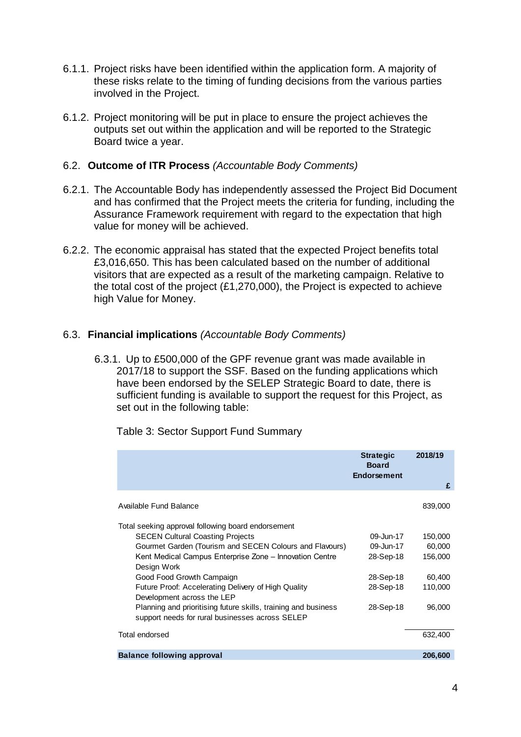- 6.1.1. Project risks have been identified within the application form. A majority of these risks relate to the timing of funding decisions from the various parties involved in the Project.
- 6.1.2. Project monitoring will be put in place to ensure the project achieves the outputs set out within the application and will be reported to the Strategic Board twice a year.

#### 6.2. **Outcome of ITR Process** *(Accountable Body Comments)*

- 6.2.1. The Accountable Body has independently assessed the Project Bid Document and has confirmed that the Project meets the criteria for funding, including the Assurance Framework requirement with regard to the expectation that high value for money will be achieved.
- 6.2.2. The economic appraisal has stated that the expected Project benefits total £3,016,650. This has been calculated based on the number of additional visitors that are expected as a result of the marketing campaign. Relative to the total cost of the project (£1,270,000), the Project is expected to achieve high Value for Money.

#### 6.3. **Financial implications** *(Accountable Body Comments)*

6.3.1. Up to £500,000 of the GPF revenue grant was made available in 2017/18 to support the SSF. Based on the funding applications which have been endorsed by the SELEP Strategic Board to date, there is sufficient funding is available to support the request for this Project, as set out in the following table:

|                                                                                                                                                                                                                                                                                                                                                                                                                                                                           | <b>Strategic</b><br><b>Board</b><br><b>Endorsement</b>                     | 2018/19<br>£                                                |
|---------------------------------------------------------------------------------------------------------------------------------------------------------------------------------------------------------------------------------------------------------------------------------------------------------------------------------------------------------------------------------------------------------------------------------------------------------------------------|----------------------------------------------------------------------------|-------------------------------------------------------------|
| Available Fund Balance                                                                                                                                                                                                                                                                                                                                                                                                                                                    |                                                                            | 839,000                                                     |
| Total seeking approval following board endorsement<br><b>SECEN Cultural Coasting Projects</b><br>Gourmet Garden (Tourism and SECEN Colours and Flavours)<br>Kent Medical Campus Enterprise Zone - Innovation Centre<br>Design Work<br>Good Food Growth Campaign<br>Future Proof: Accelerating Delivery of High Quality<br>Development across the LEP<br>Planning and prioritising future skills, training and business<br>support needs for rural businesses across SELEP | 09-Jun-17<br>09-Jun-17<br>28-Sep-18<br>28-Sep-18<br>28-Sep-18<br>28-Sep-18 | 150,000<br>60,000<br>156,000<br>60,400<br>110,000<br>96,000 |
| Total endorsed                                                                                                                                                                                                                                                                                                                                                                                                                                                            |                                                                            | 632,400                                                     |
| <b>Balance following approval</b>                                                                                                                                                                                                                                                                                                                                                                                                                                         |                                                                            | 206,600                                                     |

Table 3: Sector Support Fund Summary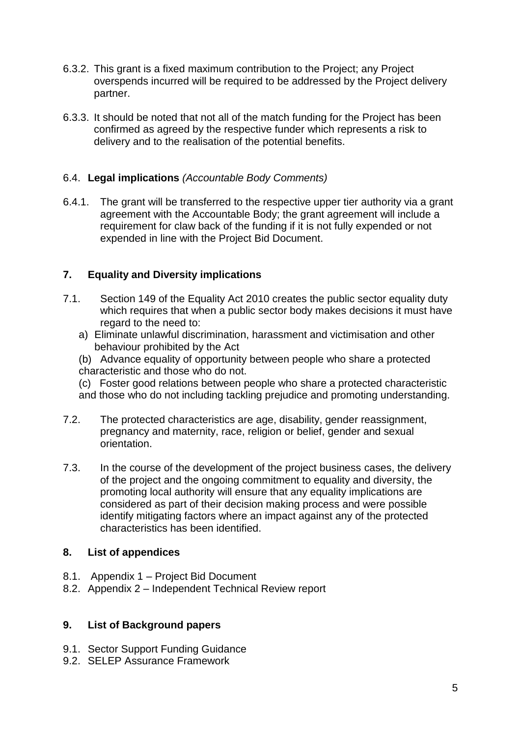- 6.3.2. This grant is a fixed maximum contribution to the Project; any Project overspends incurred will be required to be addressed by the Project delivery partner.
- 6.3.3. It should be noted that not all of the match funding for the Project has been confirmed as agreed by the respective funder which represents a risk to delivery and to the realisation of the potential benefits.

## 6.4. **Legal implications** *(Accountable Body Comments)*

6.4.1. The grant will be transferred to the respective upper tier authority via a grant agreement with the Accountable Body; the grant agreement will include a requirement for claw back of the funding if it is not fully expended or not expended in line with the Project Bid Document.

## **7. Equality and Diversity implications**

- 7.1. Section 149 of the Equality Act 2010 creates the public sector equality duty which requires that when a public sector body makes decisions it must have regard to the need to:
	- a) Eliminate unlawful discrimination, harassment and victimisation and other behaviour prohibited by the Act
	- (b) Advance equality of opportunity between people who share a protected characteristic and those who do not.
	- (c) Foster good relations between people who share a protected characteristic
	- and those who do not including tackling prejudice and promoting understanding.
- 7.2. The protected characteristics are age, disability, gender reassignment, pregnancy and maternity, race, religion or belief, gender and sexual orientation.
- 7.3. In the course of the development of the project business cases, the delivery of the project and the ongoing commitment to equality and diversity, the promoting local authority will ensure that any equality implications are considered as part of their decision making process and were possible identify mitigating factors where an impact against any of the protected characteristics has been identified.

#### **8. List of appendices**

- 8.1. Appendix 1 Project Bid Document
- 8.2. Appendix 2 Independent Technical Review report

#### **9. List of Background papers**

- 9.1. Sector Support Funding Guidance
- 9.2. SELEP Assurance Framework